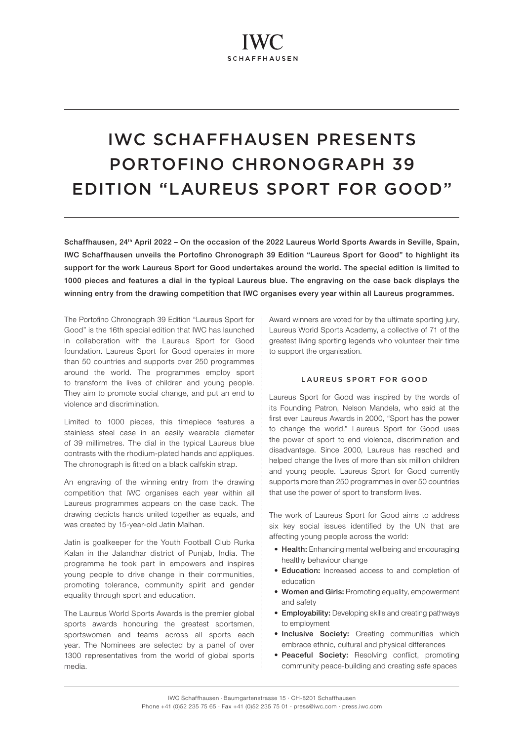# IWC SCHAFFHAUSEN PRESENTS PORTOFINO CHRONOGRAPH 39 EDITION "LAUREUS SPORT FOR GOOD"

Schaffhausen, 24<sup>th</sup> April 2022 – On the occasion of the 2022 Laureus World Sports Awards in Seville, Spain, IWC Schaffhausen unveils the Portofino Chronograph 39 Edition "Laureus Sport for Good" to highlight its support for the work Laureus Sport for Good undertakes around the world. The special edition is limited to 1000 pieces and features a dial in the typical Laureus blue. The engraving on the case back displays the winning entry from the drawing competition that IWC organises every year within all Laureus programmes.

The Portofino Chronograph 39 Edition "Laureus Sport for Good" is the 16th special edition that IWC has launched in collaboration with the Laureus Sport for Good foundation. Laureus Sport for Good operates in more than 50 countries and supports over 250 programmes around the world. The programmes employ sport to transform the lives of children and young people. They aim to promote social change, and put an end to violence and discrimination.

Limited to 1000 pieces, this timepiece features a stainless steel case in an easily wearable diameter of 39 millimetres. The dial in the typical Laureus blue contrasts with the rhodium-plated hands and appliques. The chronograph is fitted on a black calfskin strap.

An engraving of the winning entry from the drawing competition that IWC organises each year within all Laureus programmes appears on the case back. The drawing depicts hands united together as equals, and was created by 15-year-old Jatin Malhan.

Jatin is goalkeeper for the Youth Football Club Rurka Kalan in the Jalandhar district of Punjab, India. The programme he took part in empowers and inspires young people to drive change in their communities, promoting tolerance, community spirit and gender equality through sport and education.

The Laureus World Sports Awards is the premier global sports awards honouring the greatest sportsmen, sportswomen and teams across all sports each year. The Nominees are selected by a panel of over 1300 representatives from the world of global sports media.

Award winners are voted for by the ultimate sporting jury. Laureus World Sports Academy, a collective of 71 of the greatest living sporting legends who volunteer their time to support the organisation.

# LAUREUS SPORT FOR GOOD

Laureus Sport for Good was inspired by the words of its Founding Patron, Nelson Mandela, who said at the first ever Laureus Awards in 2000, "Sport has the power to change the world." Laureus Sport for Good uses the power of sport to end violence, discrimination and disadvantage. Since 2000, Laureus has reached and helped change the lives of more than six million children and young people. Laureus Sport for Good currently supports more than 250 programmes in over 50 countries that use the power of sport to transform lives.

The work of Laureus Sport for Good aims to address six key social issues identified by the UN that are affecting young people across the world:

- Health: Enhancing mental wellbeing and encouraging healthy behaviour change
- Education: Increased access to and completion of education
- Women and Girls: Promoting equality, empowerment and safety
- Employability: Developing skills and creating pathways to employment
- Inclusive Society: Creating communities which embrace ethnic, cultural and physical differences
- Peaceful Society: Resolving conflict, promoting community peace-building and creating safe spaces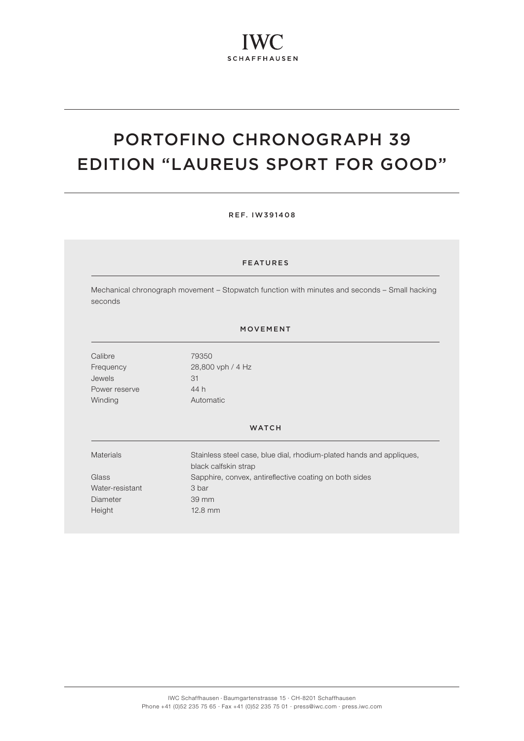# PORTOFINO CHRONOGRAPH 39 EDITION "LAUREUS SPORT FOR GOOD"

### REF. IW391408

# FEATURES

Mechanical chronograph movement – Stopwatch function with minutes and seconds – Small hacking seconds

## MOVEMENT

Calibre 79350 Jewels 31 Power reserve 44 h Winding **Automatic** 

Frequency 28,800 vph / 4 Hz

#### **WATCH**

Materials Stainless steel case, blue dial, rhodium-plated hands and appliques, black calfskin strap Glass Sapphire, convex, antireflective coating on both sides Water-resistant 3 bar Diameter 39 mm Height 12.8 mm